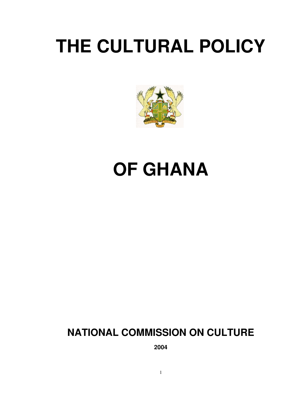# **THE CULTURAL POLICY**



# **OF GHANA**

# **NATIONAL COMMISSION ON CULTURE**

**2004**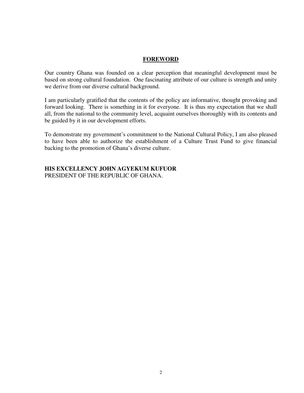#### **FOREWORD**

Our country Ghana was founded on a clear perception that meaningful development must be based on strong cultural foundation. One fascinating attribute of our culture is strength and unity we derive from our diverse cultural background.

I am particularly gratified that the contents of the policy are informative, thought provoking and forward looking. There is something in it for everyone. It is thus my expectation that we shall all, from the national to the community level, acquaint ourselves thoroughly with its contents and be guided by it in our development efforts.

To demonstrate my government's commitment to the National Cultural Policy, I am also pleased to have been able to authorize the establishment of a Culture Trust Fund to give financial backing to the promotion of Ghana's diverse culture.

# **HIS EXCELLENCY JOHN AGYEKUM KUFUOR**

PRESIDENT OF THE REPUBLIC OF GHANA.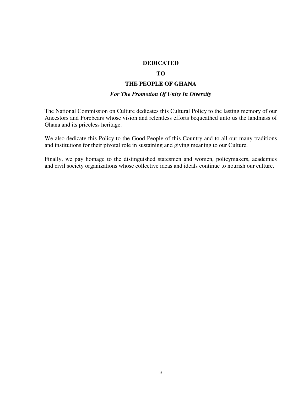#### **DEDICATED**

#### **TO**

#### **THE PEOPLE OF GHANA**

### *For The Promotion Of Unity In Diversity*

The National Commission on Culture dedicates this Cultural Policy to the lasting memory of our Ancestors and Forebears whose vision and relentless efforts bequeathed unto us the landmass of Ghana and its priceless heritage.

We also dedicate this Policy to the Good People of this Country and to all our many traditions and institutions for their pivotal role in sustaining and giving meaning to our Culture.

Finally, we pay homage to the distinguished statesmen and women, policymakers, academics and civil society organizations whose collective ideas and ideals continue to nourish our culture.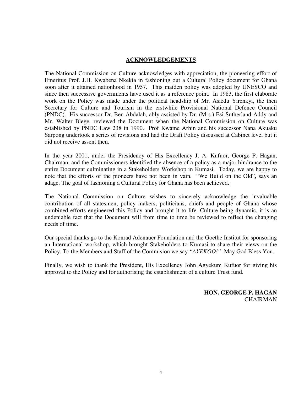#### **ACKNOWLEDGEMENTS**

The National Commission on Culture acknowledges with appreciation, the pioneering effort of Emeritus Prof. J.H. Kwabena Nkekia in fashioning out a Cultural Policy document for Ghana soon after it attained nationhood in 1957. This maiden policy was adopted by UNESCO and since then successive governments have used it as a reference point. In 1983, the first elaborate work on the Policy was made under the political headship of Mr. Asiedu Yirenkyi, the then Secretary for Culture and Tourism in the erstwhile Provisional National Defence Council (PNDC). His successor Dr. Ben Abdalah, ably assisted by Dr. (Mrs.) Esi Sutherland-Addy and Mr. Walter Blege, reviewed the Document when the National Commission on Culture was established by PNDC Law 238 in 1990. Prof Kwame Arhin and his successor Nana Akuaku Sarpong undertook a series of revisions and had the Draft Policy discussed at Cabinet level but it did not receive assent then.

In the year 2001, under the Presidency of His Excellency J. A. Kufuor, George P. Hagan, Chairman, and the Commissioners identified the absence of a policy as a major hindrance to the entire Document culminating in a Stakeholders Workshop in Kumasi. Today, we are happy to note that the efforts of the pioneers have not been in vain. "We Build on the Old", says an adage. The goal of fashioning a Cultural Policy for Ghana has been achieved.

The National Commission on Culture wishes to sincerely acknowledge the invaluable contribution of all statesmen, policy makers, politicians, chiefs and people of Ghana whose combined efforts engineered this Policy and brought it to life. Culture being dynamic, it is an undeniable fact that the Document will from time to time be reviewed to reflect the changing needs of time.

Our special thanks go to the Konrad Adenauer Foundation and the Goethe Institut for sponsoring an International workshop, which brought Stakeholders to Kumasi to share their views on the Policy. To the Members and Staff of the Commision we say *"AYEKOO!"* May God Bless You.

Finally, we wish to thank the President, His Excellency John Agyekum Kufuor for giving his approval to the Policy and for authorising the establishment of a culture Trust fund.

> **HON. GEORGE P. HAGAN**  CHAIRMAN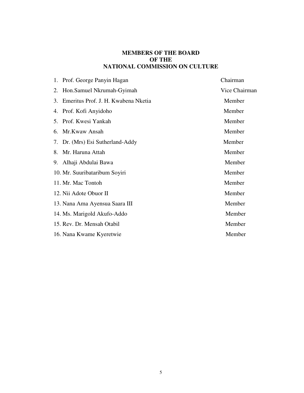#### **MEMBERS OF THE BOARD OF THE NATIONAL COMMISSION ON CULTURE**

|    | 1. Prof. George Panyin Hagan        | Chairman      |
|----|-------------------------------------|---------------|
| 2. | Hon.Samuel Nkrumah-Gyimah           | Vice Chairman |
| 3. | Emeritus Prof. J. H. Kwabena Nketia | Member        |
| 4. | Prof. Kofi Anyidoho                 | Member        |
|    | 5. Prof. Kwesi Yankah               | Member        |
| 6. | Mr.Kwaw Ansah                       | Member        |
|    | 7. Dr. (Mrs) Esi Sutherland-Addy    | Member        |
| 8. | Mr. Haruna Attah                    | Member        |
| 9. | Alhaji Abdulai Bawa                 | Member        |
|    | 10. Mr. Suuribataribum Soyiri       | Member        |
|    | 11. Mr. Mac Tontoh                  | Member        |
|    | 12. Nii Adote Obuor II              | Member        |
|    | 13. Nana Ama Ayensua Saara III      | Member        |
|    | 14. Ms. Marigold Akufo-Addo         | Member        |
|    | 15. Rev. Dr. Mensah Otabil          | Member        |
|    | 16. Nana Kwame Kyeretwie            | Member        |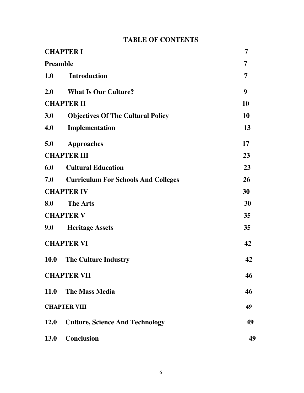# **TABLE OF CONTENTS**

| <b>CHAPTER I</b><br><b>Preamble</b> |                                            | 7<br>7 |
|-------------------------------------|--------------------------------------------|--------|
|                                     |                                            |        |
| 2.0                                 | <b>What Is Our Culture?</b>                | 9      |
| <b>CHAPTER II</b>                   |                                            | 10     |
| 3.0                                 | <b>Objectives Of The Cultural Policy</b>   | 10     |
| 4.0                                 | Implementation                             | 13     |
| 5.0                                 | <b>Approaches</b>                          | 17     |
| <b>CHAPTER III</b>                  |                                            | 23     |
| 6.0                                 | <b>Cultural Education</b>                  | 23     |
| 7.0                                 | <b>Curriculum For Schools And Colleges</b> | 26     |
| <b>CHAPTER IV</b>                   |                                            | 30     |
| 8.0                                 | <b>The Arts</b>                            | 30     |
| <b>CHAPTER V</b>                    |                                            | 35     |
| 9.0                                 | <b>Heritage Assets</b>                     | 35     |
| <b>CHAPTER VI</b>                   |                                            | 42     |
| <b>10.0</b>                         | <b>The Culture Industry</b>                | 42     |
| <b>CHAPTER VII</b>                  |                                            | 46     |
| <b>11.0</b>                         | <b>The Mass Media</b>                      | 46     |
| <b>CHAPTER VIII</b>                 | 49                                         |        |
| <b>12.0</b>                         | <b>Culture, Science And Technology</b>     | 49     |
| <b>13.0</b>                         | <b>Conclusion</b>                          | 49     |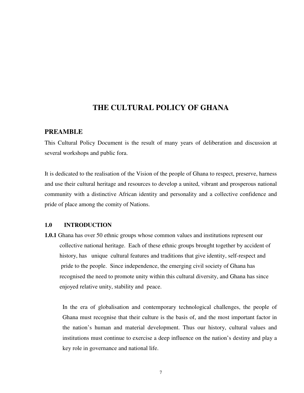### **THE CULTURAL POLICY OF GHANA**

#### **PREAMBLE**

This Cultural Policy Document is the result of many years of deliberation and discussion at several workshops and public fora.

It is dedicated to the realisation of the Vision of the people of Ghana to respect, preserve, harness and use their cultural heritage and resources to develop a united, vibrant and prosperous national community with a distinctive African identity and personality and a collective confidence and pride of place among the comity of Nations.

#### **1.0 INTRODUCTION**

**1.0.1** Ghana has over 50 ethnic groups whose common values and institutions represent our collective national heritage. Each of these ethnic groups brought together by accident of history, has unique cultural features and traditions that give identity, self-respect and pride to the people. Since independence, the emerging civil society of Ghana has recognised the need to promote unity within this cultural diversity, and Ghana has since enjoyed relative unity, stability and peace.

In the era of globalisation and contemporary technological challenges, the people of Ghana must recognise that their culture is the basis of, and the most important factor in the nation's human and material development. Thus our history, cultural values and institutions must continue to exercise a deep influence on the nation's destiny and play a key role in governance and national life.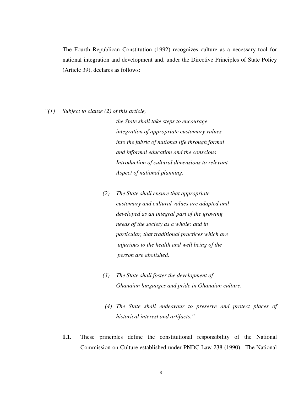The Fourth Republican Constitution (1992) recognizes culture as a necessary tool for national integration and development and, under the Directive Principles of State Policy (Article 39), declares as follows:

*"(1) Subject to clause (2) of this article,* 

*the State shall take steps to encourage integration of appropriate customary values into the fabric of national life through formal and informal education and the conscious Introduction of cultural dimensions to relevant Aspect of national planning.* 

- *(2) The State shall ensure that appropriate customary and cultural values are adapted and developed as an integral part of the growing needs of the society as a whole; and in particular, that traditional practices which are injurious to the health and well being of the person are abolished.*
- *(3) The State shall foster the development of Ghanaian languages and pride in Ghanaian culture.*
- *(4) The State shall endeavour to preserve and protect places of historical interest and artifacts."*
- **1.1.** These principles define the constitutional responsibility of the National Commission on Culture established under PNDC Law 238 (1990). The National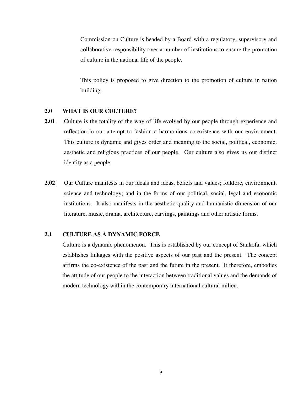Commission on Culture is headed by a Board with a regulatory, supervisory and collaborative responsibility over a number of institutions to ensure the promotion of culture in the national life of the people.

This policy is proposed to give direction to the promotion of culture in nation building.

#### **2.0 WHAT IS OUR CULTURE?**

- **2.01** Culture is the totality of the way of life evolved by our people through experience and reflection in our attempt to fashion a harmonious co-existence with our environment. This culture is dynamic and gives order and meaning to the social, political, economic, aesthetic and religious practices of our people. Our culture also gives us our distinct identity as a people.
- **2.02** Our Culture manifests in our ideals and ideas, beliefs and values; folklore, environment, science and technology; and in the forms of our political, social, legal and economic institutions. It also manifests in the aesthetic quality and humanistic dimension of our literature, music, drama, architecture, carvings, paintings and other artistic forms.

#### **2.1 CULTURE AS A DYNAMIC FORCE**

Culture is a dynamic phenomenon. This is established by our concept of Sankofa, which establishes linkages with the positive aspects of our past and the present. The concept affirms the co-existence of the past and the future in the present. It therefore, embodies the attitude of our people to the interaction between traditional values and the demands of modern technology within the contemporary international cultural milieu.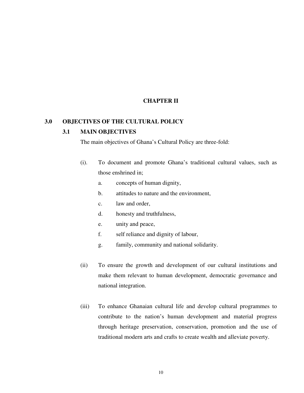#### **CHAPTER II**

#### **3.0 OBJECTIVES OF THE CULTURAL POLICY**

#### **3.1 MAIN OBJECTIVES**

The main objectives of Ghana's Cultural Policy are three-fold:

- (i). To document and promote Ghana's traditional cultural values, such as those enshrined in;
	- a. concepts of human dignity,
	- b. attitudes to nature and the environment,
	- c. law and order,
	- d. honesty and truthfulness,
	- e. unity and peace,
	- f. self reliance and dignity of labour,
	- g. family, community and national solidarity.
- (ii) To ensure the growth and development of our cultural institutions and make them relevant to human development, democratic governance and national integration.
- (iii) To enhance Ghanaian cultural life and develop cultural programmes to contribute to the nation's human development and material progress through heritage preservation, conservation, promotion and the use of traditional modern arts and crafts to create wealth and alleviate poverty.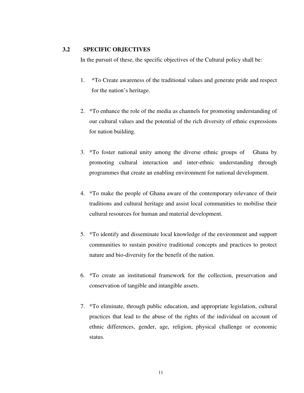#### **3.2 SPECIFIC OBJECTIVES**

In the pursuit of these, the specific objectives of the Cultural policy shall be:

- 1. \*To Create awareness of the traditional values and generate pride and respect for the nation's heritage.
- 2. \*To enhance the role of the media as channels for promoting understanding of our cultural values and the potential of the rich diversity of ethnic expressions for nation building.
- 3. \*To foster national unity among the diverse ethnic groups of Ghana by promoting cultural interaction and inter-ethnic understanding through programmes that create an enabling environment for national development.
- 4. \*To make the people of Ghana aware of the contemporary relevance of their traditions and cultural heritage and assist local communities to mobilise their cultural resources for human and material development.
- 5. \*To identify and disseminate local knowledge of the environment and support communities to sustain positive traditional concepts and practices to protect nature and bio-diversity for the benefit of the nation.
- 6. \*To create an institutional framework for the collection, preservation and conservation of tangible and intangible assets.
- 7. \*To eliminate, through public education, and appropriate legislation, cultural practices that lead to the abuse of the rights of the individual on account of ethnic differences, gender, age, religion, physical challenge or economic status.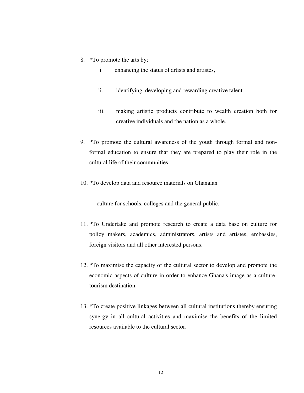- 8. \*To promote the arts by;
	- i enhancing the status of artists and artistes,
	- ii. identifying, developing and rewarding creative talent.
	- iii. making artistic products contribute to wealth creation both for creative individuals and the nation as a whole.
- 9. \*To promote the cultural awareness of the youth through formal and nonformal education to ensure that they are prepared to play their role in the cultural life of their communities.
- 10. \*To develop data and resource materials on Ghanaian

culture for schools, colleges and the general public.

- 11. \*To Undertake and promote research to create a data base on culture for policy makers, academics, administrators, artists and artistes, embassies, foreign visitors and all other interested persons.
- 12. \*To maximise the capacity of the cultural sector to develop and promote the economic aspects of culture in order to enhance Ghana's image as a culturetourism destination.
- 13. \*To create positive linkages between all cultural institutions thereby ensuring synergy in all cultural activities and maximise the benefits of the limited resources available to the cultural sector.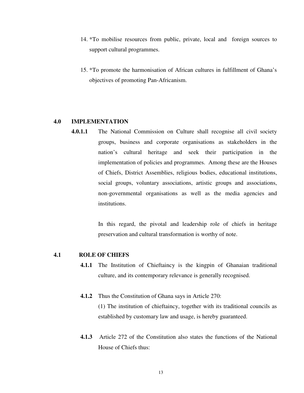- 14. \*To mobilise resources from public, private, local and foreign sources to support cultural programmes.
- 15. \*To promote the harmonisation of African cultures in fulfillment of Ghana's objectives of promoting Pan-Africanism.

#### **4.0 IMPLEMENTATION**

**4.0.1.1** The National Commission on Culture shall recognise all civil society groups, business and corporate organisations as stakeholders in the nation's cultural heritage and seek their participation in the implementation of policies and programmes. Among these are the Houses of Chiefs, District Assemblies, religious bodies, educational institutions, social groups, voluntary associations, artistic groups and associations, non-governmental organisations as well as the media agencies and institutions.

> In this regard, the pivotal and leadership role of chiefs in heritage preservation and cultural transformation is worthy of note.

#### **4.1 ROLE OF CHIEFS**

- **4.1.1** The Institution of Chieftaincy is the kingpin of Ghanaian traditional culture, and its contemporary relevance is generally recognised.
- **4.1.2** Thus the Constitution of Ghana says in Article 270: (1) The institution of chieftaincy, together with its traditional councils as established by customary law and usage, is hereby guaranteed.
- **4.1.3** Article 272 of the Constitution also states the functions of the National House of Chiefs thus: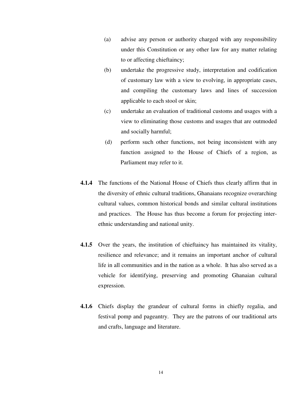- (a) advise any person or authority charged with any responsibility under this Constitution or any other law for any matter relating to or affecting chieftaincy;
- (b) undertake the progressive study, interpretation and codification of customary law with a view to evolving, in appropriate cases, and compiling the customary laws and lines of succession applicable to each stool or skin;
- (c) undertake an evaluation of traditional customs and usages with a view to eliminating those customs and usages that are outmoded and socially harmful;
- (d) perform such other functions, not being inconsistent with any function assigned to the House of Chiefs of a region, as Parliament may refer to it.
- **4.1.4** The functions of the National House of Chiefs thus clearly affirm that in the diversity of ethnic cultural traditions, Ghanaians recognize overarching cultural values, common historical bonds and similar cultural institutions and practices. The House has thus become a forum for projecting interethnic understanding and national unity.
- **4.1.5** Over the years, the institution of chieftaincy has maintained its vitality, resilience and relevance; and it remains an important anchor of cultural life in all communities and in the nation as a whole. It has also served as a vehicle for identifying, preserving and promoting Ghanaian cultural expression.
- **4.1.6** Chiefs display the grandeur of cultural forms in chiefly regalia, and festival pomp and pageantry. They are the patrons of our traditional arts and crafts, language and literature.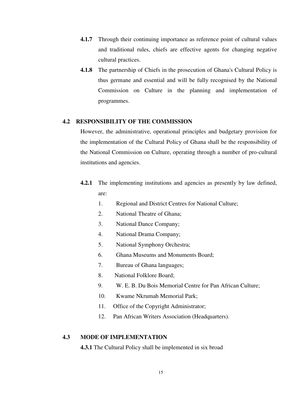- **4.1.7** Through their continuing importance as reference point of cultural values and traditional rules, chiefs are effective agents for changing negative cultural practices.
- **4.1.8** The partnership of Chiefs in the prosecution of Ghana's Cultural Policy is thus germane and essential and will be fully recognised by the National Commission on Culture in the planning and implementation of programmes.

#### **4.2 RESPONSIBILITY OF THE COMMISSION**

 However, the administrative, operational principles and budgetary provision for the implementation of the Cultural Policy of Ghana shall be the responsibility of the National Commission on Culture, operating through a number of pro-cultural institutions and agencies.

- **4.2.1** The implementing institutions and agencies as presently by law defined, are:
	- 1. Regional and District Centres for National Culture;
	- 2. National Theatre of Ghana;
	- 3. National Dance Company;
	- 4. National Drama Company;
	- 5. National Symphony Orchestra;
	- 6. Ghana Museums and Monuments Board;
	- 7. Bureau of Ghana languages;
	- 8. National Folklore Board;
	- 9. W. E. B. Du Bois Memorial Centre for Pan African Culture;
	- 10. Kwame Nkrumah Memorial Park;
	- 11. Office of the Copyright Administrator;
	- 12. Pan African Writers Association (Headquarters).

#### **4.3 MODE OF IMPLEMENTATION**

**4.3.1** The Cultural Policy shall be implemented in six broad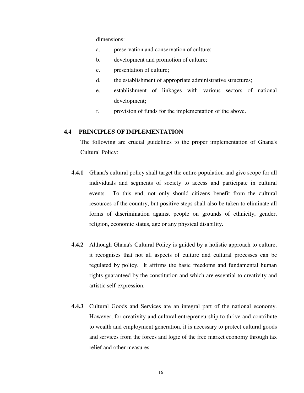dimensions:

- a. preservation and conservation of culture;
- b. development and promotion of culture;
- c. presentation of culture;
- d. the establishment of appropriate administrative structures;
- e. establishment of linkages with various sectors of national development;
- f. provision of funds for the implementation of the above.

#### **4.4 PRINCIPLES OF IMPLEMENTATION**

The following are crucial guidelines to the proper implementation of Ghana's Cultural Policy:

- **4.4.1** Ghana's cultural policy shall target the entire population and give scope for all individuals and segments of society to access and participate in cultural events. To this end, not only should citizens benefit from the cultural resources of the country, but positive steps shall also be taken to eliminate all forms of discrimination against people on grounds of ethnicity, gender, religion, economic status, age or any physical disability.
- **4.4.2** Although Ghana's Cultural Policy is guided by a holistic approach to culture, it recognises that not all aspects of culture and cultural processes can be regulated by policy. It affirms the basic freedoms and fundamental human rights guaranteed by the constitution and which are essential to creativity and artistic self-expression.
- **4.4.3** Cultural Goods and Services are an integral part of the national economy. However, for creativity and cultural entrepreneurship to thrive and contribute to wealth and employment generation, it is necessary to protect cultural goods and services from the forces and logic of the free market economy through tax relief and other measures.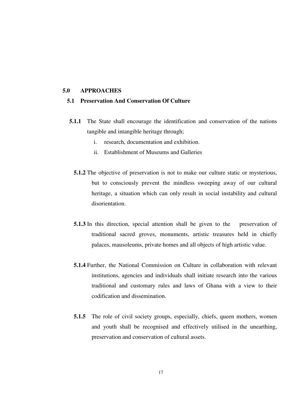#### **5.0 APPROACHES**

#### **5.1 Preservation And Conservation Of Culture**

- **5.1.1** The State shall encourage the identification and conservation of the nations tangible and intangible heritage through;
	- i. research, documentation and exhibition.
	- ii. Establishment of Museums and Galleries
	- **5.1.2** The objective of preservation is not to make our culture static or mysterious, but to consciously prevent the mindless sweeping away of our cultural heritage, a situation which can only result in social instability and cultural disorientation.
	- **5.1.3** In this direction, special attention shall be given to the preservation of traditional sacred groves, monuments, artistic treasures held in chiefly palaces, mausoleums, private homes and all objects of high artistic value.
	- **5.1.4** Further, the National Commission on Culture in collaboration with relevant institutions, agencies and individuals shall initiate research into the various traditional and customary rules and laws of Ghana with a view to their codification and dissemination.
	- **5.1.5** The role of civil society groups, especially, chiefs, queen mothers, women and youth shall be recognised and effectively utilised in the unearthing, preservation and conservation of cultural assets.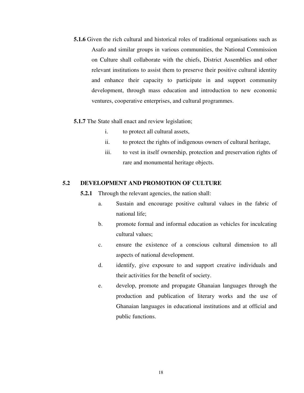**5.1.6** Given the rich cultural and historical roles of traditional organisations such as Asafo and similar groups in various communities, the National Commission on Culture shall collaborate with the chiefs, District Assemblies and other relevant institutions to assist them to preserve their positive cultural identity and enhance their capacity to participate in and support community development, through mass education and introduction to new economic ventures, cooperative enterprises, and cultural programmes.

#### **5.1.7** The State shall enact and review legislation;

- i. to protect all cultural assets,
- ii. to protect the rights of indigenous owners of cultural heritage,
- iii. to vest in itself ownership, protection and preservation rights of rare and monumental heritage objects.

#### **5.2 DEVELOPMENT AND PROMOTION OF CULTURE**

**5.2.1** Through the relevant agencies, the nation shall:

- a. Sustain and encourage positive cultural values in the fabric of national life;
- b. promote formal and informal education as vehicles for inculcating cultural values;
- c. ensure the existence of a conscious cultural dimension to all aspects of national development.
- d. identify, give exposure to and support creative individuals and their activities for the benefit of society.
- e. develop, promote and propagate Ghanaian languages through the production and publication of literary works and the use of Ghanaian languages in educational institutions and at official and public functions.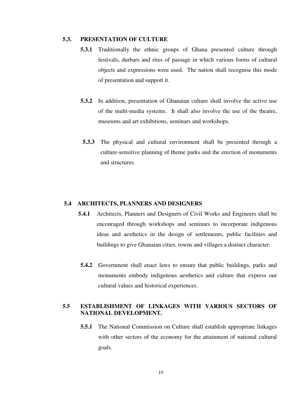#### **5.3. PRESENTATION OF CULTURE**

- **5.3.1** Traditionally the ethnic groups of Ghana presented culture through festivals, durbars and rites of passage in which various forms of cultural objects and expressions were used. The nation shall recognise this mode of presentation and support it.
- **5.3.2** In addition, presentation of Ghanaian culture shall involve the active use of the multi-media systems. It shall also involve the use of the theatre, museums and art exhibitions, seminars and workshops.
- **5.3.3** The physical and cultural environment shall be presented through a culture-sensitive planning of theme parks and the erection of monuments and structures.

#### **5.4 ARCHITECTS, PLANNERS AND DESIGNERS**

- **5.4.1** Architects, Planners and Designers of Civil Works and Engineers shall be encouraged through workshops and seminars to incorporate indigenous ideas and aesthetics in the design of settlements, public facilities and buildings to give Ghanaian cities, towns and villages a distinct character.
- **5.4.2** Government shall enact laws to ensure that public buildings, parks and monuments embody indigenous aesthetics and culture that express our cultural values and historical experiences.

#### **5.5 ESTABLISHMENT OF LINKAGES WITH VARIOUS SECTORS OF NATIONAL DEVELOPMENT.**

**5.5.1** The National Commission on Culture shall establish appropriate linkages with other sectors of the economy for the attainment of national cultural goals.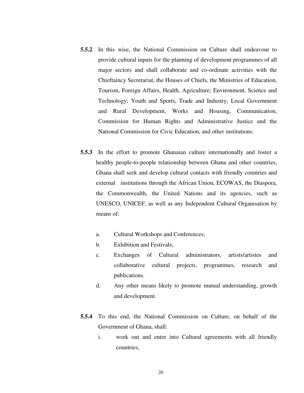- **5.5.2** In this wise, the National Commission on Culture shall endeavour to provide cultural inputs for the planning of development programmes of all major sectors and shall collaborate and co-ordinate activities with the Chieftaincy Secretariat, the Houses of Chiefs, the Ministries of Education, Tourism, Foreign Affairs, Health, Agriculture; Environment, Science and Technology; Youth and Sports, Trade and Industry; Local Government and Rural Development, Works and Housing, Communication, Commission for Human Rights and Administrative Justice and the National Commission for Civic Education, and other institutions.
- **5.5.3** In the effort to promote Ghanaian culture internationally and foster a healthy people-to-people relationship between Ghana and other countries, Ghana shall seek and develop cultural contacts with friendly countries and external institutions through the African Union, ECOWAS, the Diaspora, the Commonwealth, the United Nations and its agencies, such as UNESCO, UNICEF, as well as any Independent Cultural Organisation by means of;
	- a. Cultural Workshops and Conferences;
	- b. Exhibition and Festivals;
	- c. Exchanges of Cultural administrators, artists/artistes and collaborative cultural projects, programmes, research and publications.
	- d. Any other means likely to promote mutual understanding, growth and development.
- **5.5.4** To this end, the National Commission on Culture, on behalf of the Government of Ghana, shall:
	- i. work out and enter into Cultural agreements with all friendly countries,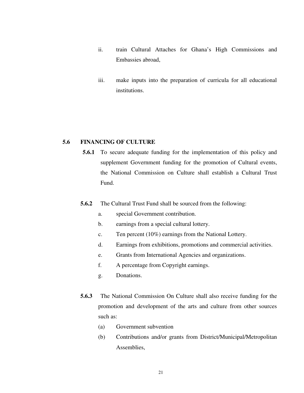- ii. train Cultural Attaches for Ghana's High Commissions and Embassies abroad,
- iii. make inputs into the preparation of curricula for all educational institutions.

#### **5.6 FINANCING OF CULTURE**

- **5.6.1** To secure adequate funding for the implementation of this policy and supplement Government funding for the promotion of Cultural events, the National Commission on Culture shall establish a Cultural Trust Fund.
- **5.6.2** The Cultural Trust Fund shall be sourced from the following:
	- a. special Government contribution.
	- b. earnings from a special cultural lottery.
	- c. Ten percent (10%) earnings from the National Lottery.
	- d. Earnings from exhibitions, promotions and commercial activities.
	- e. Grants from International Agencies and organizations.
	- f. A percentage from Copyright earnings.
	- g. Donations.
- **5.6.3** The National Commission On Culture shall also receive funding for the promotion and development of the arts and culture from other sources such as:
	- (a) Government subvention
	- (b) Contributions and/or grants from District/Municipal/Metropolitan Assemblies,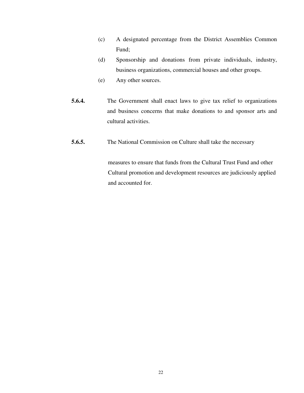- (c) A designated percentage from the District Assemblies Common Fund;
- (d) Sponsorship and donations from private individuals, industry, business organizations, commercial houses and other groups.
- (e) Any other sources.
- **5.6.4.** The Government shall enact laws to give tax relief to organizations and business concerns that make donations to and sponsor arts and cultural activities.
- **5.6.5.** The National Commission on Culture shall take the necessary

 measures to ensure that funds from the Cultural Trust Fund and other Cultural promotion and development resources are judiciously applied and accounted for.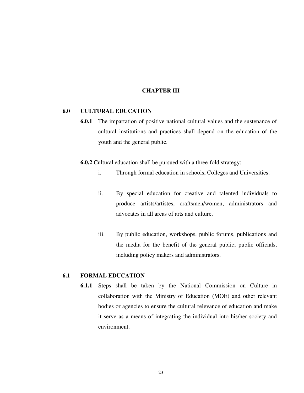#### **CHAPTER III**

#### **6.0 CULTURAL EDUCATION**

**6.0.1** The impartation of positive national cultural values and the sustenance of cultural institutions and practices shall depend on the education of the youth and the general public.

**6.0.2** Cultural education shall be pursued with a three-fold strategy:

- i. Through formal education in schools, Colleges and Universities.
- ii. By special education for creative and talented individuals to produce artists/artistes, craftsmen/women, administrators and advocates in all areas of arts and culture.
- iii. By public education, workshops, public forums, publications and the media for the benefit of the general public; public officials, including policy makers and administrators.

#### **6.1 FORMAL EDUCATION**

**6.1.1** Steps shall be taken by the National Commission on Culture in collaboration with the Ministry of Education (MOE) and other relevant bodies or agencies to ensure the cultural relevance of education and make it serve as a means of integrating the individual into his/her society and environment.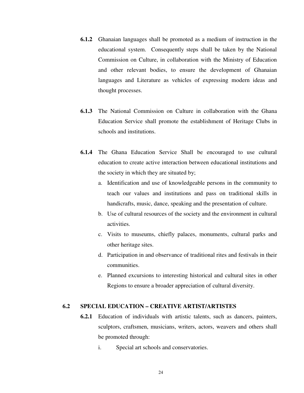- **6.1.2** Ghanaian languages shall be promoted as a medium of instruction in the educational system. Consequently steps shall be taken by the National Commission on Culture, in collaboration with the Ministry of Education and other relevant bodies, to ensure the development of Ghanaian languages and Literature as vehicles of expressing modern ideas and thought processes.
- **6.1.3** The National Commission on Culture in collaboration with the Ghana Education Service shall promote the establishment of Heritage Clubs in schools and institutions.
- **6.1.4** The Ghana Education Service Shall be encouraged to use cultural education to create active interaction between educational institutions and the society in which they are situated by;
	- a. Identification and use of knowledgeable persons in the community to teach our values and institutions and pass on traditional skills in handicrafts, music, dance, speaking and the presentation of culture.
	- b. Use of cultural resources of the society and the environment in cultural activities.
	- c. Visits to museums, chiefly palaces, monuments, cultural parks and other heritage sites.
	- d. Participation in and observance of traditional rites and festivals in their communities.
	- e. Planned excursions to interesting historical and cultural sites in other Regions to ensure a broader appreciation of cultural diversity.

#### **6.2 SPECIAL EDUCATION – CREATIVE ARTIST/ARTISTES**

- **6.2.1** Education of individuals with artistic talents, such as dancers, painters, sculptors, craftsmen, musicians, writers, actors, weavers and others shall be promoted through:
	- i. Special art schools and conservatories.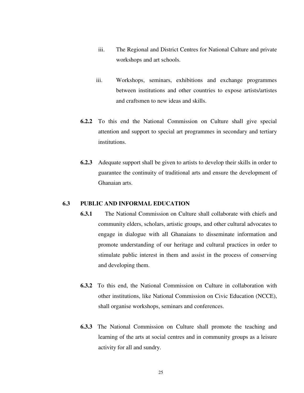- iii. The Regional and District Centres for National Culture and private workshops and art schools.
- iii. Workshops, seminars, exhibitions and exchange programmes between institutions and other countries to expose artists/artistes and craftsmen to new ideas and skills.
- **6.2.2** To this end the National Commission on Culture shall give special attention and support to special art programmes in secondary and tertiary institutions.
- **6.2.3** Adequate support shall be given to artists to develop their skills in order to guarantee the continuity of traditional arts and ensure the development of Ghanaian arts.

#### **6.3 PUBLIC AND INFORMAL EDUCATION**

- **6.3.1** The National Commission on Culture shall collaborate with chiefs and community elders, scholars, artistic groups, and other cultural advocates to engage in dialogue with all Ghanaians to disseminate information and promote understanding of our heritage and cultural practices in order to stimulate public interest in them and assist in the process of conserving and developing them.
- **6.3.2** To this end, the National Commission on Culture in collaboration with other institutions, like National Commission on Civic Education (NCCE), shall organise workshops, seminars and conferences.
- **6.3.3** The National Commission on Culture shall promote the teaching and learning of the arts at social centres and in community groups as a leisure activity for all and sundry.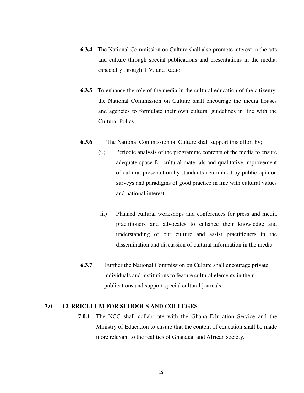- **6.3.4** The National Commission on Culture shall also promote interest in the arts and culture through special publications and presentations in the media, especially through T.V. and Radio.
- **6.3.5** To enhance the role of the media in the cultural education of the citizenry, the National Commission on Culture shall encourage the media houses and agencies to formulate their own cultural guidelines in line with the Cultural Policy.
- **6.3.6** The National Commission on Culture shall support this effort by;
	- (i.) Periodic analysis of the programme contents of the media to ensure adequate space for cultural materials and qualitative improvement of cultural presentation by standards determined by public opinion surveys and paradigms of good practice in line with cultural values and national interest.
	- (ii.) Planned cultural workshops and conferences for press and media practitioners and advocates to enhance their knowledge and understanding of our culture and assist practitioners in the dissemination and discussion of cultural information in the media.
- **6.3.7** Further the National Commission on Culture shall encourage private individuals and institutions to feature cultural elements in their publications and support special cultural journals.

#### **7.0 CURRICULUM FOR SCHOOLS AND COLLEGES**

**7.0.1** The NCC shall collaborate with the Ghana Education Service and the Ministry of Education to ensure that the content of education shall be made more relevant to the realities of Ghanaian and African society.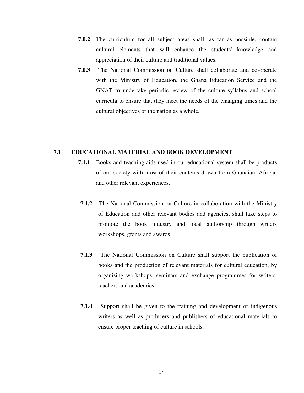- **7.0.2** The curriculum for all subject areas shall, as far as possible, contain cultural elements that will enhance the students' knowledge and appreciation of their culture and traditional values.
- **7.0.3** The National Commission on Culture shall collaborate and co-operate with the Ministry of Education, the Ghana Education Service and the GNAT to undertake periodic review of the culture syllabus and school curricula to ensure that they meet the needs of the changing times and the cultural objectives of the nation as a whole.

#### **7.1 EDUCATIONAL MATERIAL AND BOOK DEVELOPMENT**

- **7.1.1** Books and teaching aids used in our educational system shall be products of our society with most of their contents drawn from Ghanaian, African and other relevant experiences.
- **7.1.2** The National Commission on Culture in collaboration with the Ministry of Education and other relevant bodies and agencies, shall take steps to promote the book industry and local authorship through writers workshops, grants and awards.
- **7.1.3** The National Commission on Culture shall support the publication of books and the production of relevant materials for cultural education, by organising workshops, seminars and exchange programmes for writers, teachers and academics.
- **7.1.4** Support shall be given to the training and development of indigenous writers as well as producers and publishers of educational materials to ensure proper teaching of culture in schools.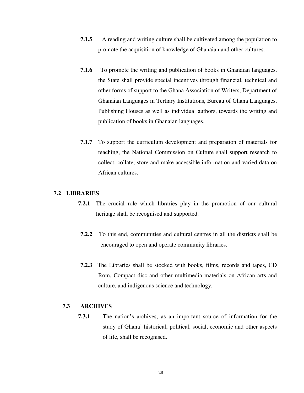- **7.1.5** A reading and writing culture shall be cultivated among the population to promote the acquisition of knowledge of Ghanaian and other cultures.
- **7.1.6** To promote the writing and publication of books in Ghanaian languages, the State shall provide special incentives through financial, technical and other forms of support to the Ghana Association of Writers, Department of Ghanaian Languages in Tertiary Institutions, Bureau of Ghana Languages, Publishing Houses as well as individual authors, towards the writing and publication of books in Ghanaian languages.
- **7.1.7** To support the curriculum development and preparation of materials for teaching, the National Commission on Culture shall support research to collect, collate, store and make accessible information and varied data on African cultures.

#### **7.2 LIBRARIES**

- **7.2.1** The crucial role which libraries play in the promotion of our cultural heritage shall be recognised and supported.
- **7.2.2** To this end, communities and cultural centres in all the districts shall be encouraged to open and operate community libraries.
- **7.2.3** The Libraries shall be stocked with books, films, records and tapes, CD Rom, Compact disc and other multimedia materials on African arts and culture, and indigenous science and technology.

#### **7.3 ARCHIVES**

**7.3.1** The nation's archives, as an important source of information for the study of Ghana' historical, political, social, economic and other aspects of life, shall be recognised.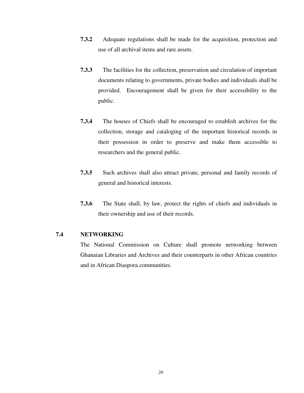- **7.3.2** Adequate regulations shall be made for the acquisition, protection and use of all archival items and rare assets.
- **7.3.3** The facilities for the collection, preservation and circulation of important documents relating to governments, private bodies and individuals shall be provided. Encouragement shall be given for their accessibility to the public.
- **7.3.4** The houses of Chiefs shall be encouraged to establish archives for the collection, storage and cataloging of the important historical records in their possession in order to preserve and make them accessible to researchers and the general public.
- **7.3.5** Such archives shall also attract private, personal and family records of general and historical interests.
- **7.3.6** The State shall, by law, protect the rights of chiefs and individuals in their ownership and use of their records.

#### **7.4 NETWORKING**

The National Commission on Culture shall promote networking between Ghanaian Libraries and Archives and their counterparts in other African countries and in African Diaspora communities.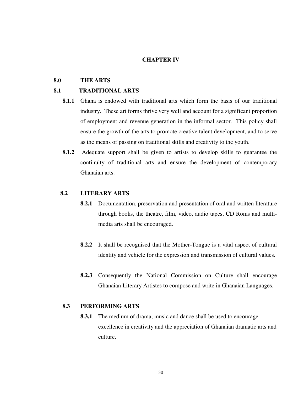#### **CHAPTER IV**

#### **8.0 THE ARTS**

#### **8.1 TRADITIONAL ARTS**

- **8.1.1** Ghana is endowed with traditional arts which form the basis of our traditional industry. These art forms thrive very well and account for a significant proportion of employment and revenue generation in the informal sector. This policy shall ensure the growth of the arts to promote creative talent development, and to serve as the means of passing on traditional skills and creativity to the youth.
- **8.1.2** Adequate support shall be given to artists to develop skills to guarantee the continuity of traditional arts and ensure the development of contemporary Ghanaian arts.

#### **8.2 LITERARY ARTS**

- **8.2.1** Documentation, preservation and presentation of oral and written literature through books, the theatre, film, video, audio tapes, CD Roms and multimedia arts shall be encouraged.
- **8.2.2** It shall be recognised that the Mother-Tongue is a vital aspect of cultural identity and vehicle for the expression and transmission of cultural values.
- **8.2.3** Consequently the National Commission on Culture shall encourage Ghanaian Literary Artistes to compose and write in Ghanaian Languages.

#### **8.3 PERFORMING ARTS**

**8.3.1** The medium of drama, music and dance shall be used to encourage excellence in creativity and the appreciation of Ghanaian dramatic arts and culture.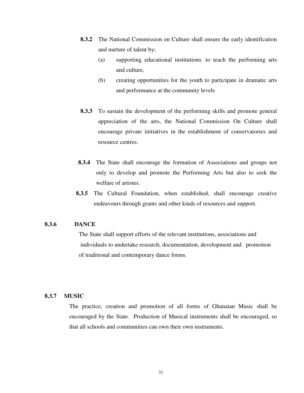- **8.3.2** The National Commission on Culture shall ensure the early identification and nurture of talent by;
	- (a) supporting educational institutions .to teach the performing arts and culture,
	- (b) creating opportunities for the youth to participate in dramatic arts and performance at the community levels
- **8.3.3** To sustain the development of the performing skills and promote general appreciation of the arts, the National Commission On Culture shall encourage private initiatives in the establishment of conservatories and resource centres.
- **8.3.4** The State shall encourage the formation of Associations and groups not only to develop and promote the Performing Arts but also to seek the welfare of artistes.
- **8.3.5** The Cultural Foundation, when established, shall encourage creative endeavours through grants and other kinds of resources and support.

#### **8.3.6 DANCE**

 The State shall support efforts of the relevant institutions, associations and individuals to undertake research, documentation, development and promotion of traditional and contemporary dance forms.

#### **8.3.7 MUSIC**

The practice, creation and promotion of all forms of Ghanaian Music shall be encouraged by the State. Production of Musical instruments shall be encouraged, so that all schools and communities can own their own instruments.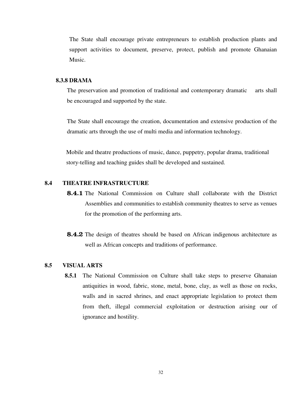The State shall encourage private entrepreneurs to establish production plants and support activities to document, preserve, protect, publish and promote Ghanaian Music.

#### **8.3.8 DRAMA**

The preservation and promotion of traditional and contemporary dramatic arts shall be encouraged and supported by the state.

The State shall encourage the creation, documentation and extensive production of the dramatic arts through the use of multi media and information technology.

 Mobile and theatre productions of music, dance, puppetry, popular drama, traditional story-telling and teaching guides shall be developed and sustained.

#### **8.4 THEATRE INFRASTRUCTURE**

- **8.4.1** The National Commission on Culture shall collaborate with the District Assemblies and communities to establish community theatres to serve as venues for the promotion of the performing arts.
- **8.4.2** The design of theatres should be based on African indigenous architecture as well as African concepts and traditions of performance.

#### **8.5 VISUAL ARTS**

**8.5.1** The National Commission on Culture shall take steps to preserve Ghanaian antiquities in wood, fabric, stone, metal, bone, clay, as well as those on rocks, walls and in sacred shrines, and enact appropriate legislation to protect them from theft, illegal commercial exploitation or destruction arising our of ignorance and hostility.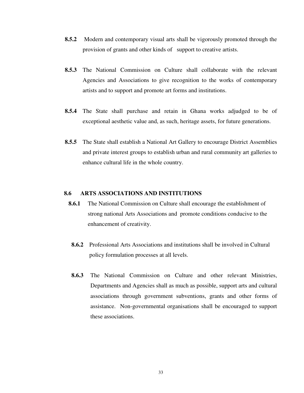- **8.5.2** Modern and contemporary visual arts shall be vigorously promoted through the provision of grants and other kinds of support to creative artists.
- **8.5.3** The National Commission on Culture shall collaborate with the relevant Agencies and Associations to give recognition to the works of contemporary artists and to support and promote art forms and institutions.
- **8.5.4** The State shall purchase and retain in Ghana works adjudged to be of exceptional aesthetic value and, as such, heritage assets, for future generations.
- **8.5.5** The State shall establish a National Art Gallery to encourage District Assemblies and private interest groups to establish urban and rural community art galleries to enhance cultural life in the whole country.

#### **8.6 ARTS ASSOCIATIONS AND INSTITUTIONS**

- **8.6.1** The National Commission on Culture shall encourage the establishment of strong national Arts Associations and promote conditions conducive to the enhancement of creativity.
- **8.6.2** Professional Arts Associations and institutions shall be involved in Cultural policy formulation processes at all levels.
- **8.6.3** The National Commission on Culture and other relevant Ministries, Departments and Agencies shall as much as possible, support arts and cultural associations through government subventions, grants and other forms of assistance. Non-governmental organisations shall be encouraged to support these associations.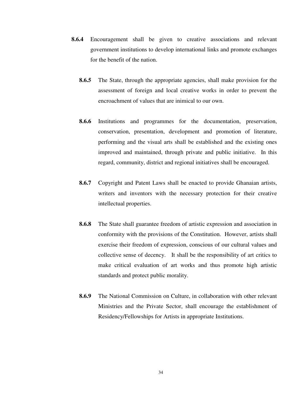- **8.6.4** Encouragement shall be given to creative associations and relevant government institutions to develop international links and promote exchanges for the benefit of the nation.
	- **8.6.5** The State, through the appropriate agencies, shall make provision for the assessment of foreign and local creative works in order to prevent the encroachment of values that are inimical to our own.
	- **8.6.6** Institutions and programmes for the documentation, preservation, conservation, presentation, development and promotion of literature, performing and the visual arts shall be established and the existing ones improved and maintained, through private and public initiative. In this regard, community, district and regional initiatives shall be encouraged.
	- **8.6.7** Copyright and Patent Laws shall be enacted to provide Ghanaian artists, writers and inventors with the necessary protection for their creative intellectual properties.
	- **8.6.8** The State shall guarantee freedom of artistic expression and association in conformity with the provisions of the Constitution. However, artists shall exercise their freedom of expression, conscious of our cultural values and collective sense of decency. It shall be the responsibility of art critics to make critical evaluation of art works and thus promote high artistic standards and protect public morality.
	- **8.6.9** The National Commission on Culture, in collaboration with other relevant Ministries and the Private Sector, shall encourage the establishment of Residency/Fellowships for Artists in appropriate Institutions.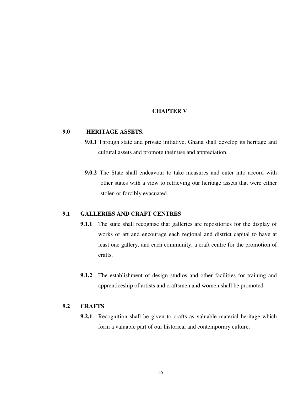#### **CHAPTER V**

#### **9.0 HERITAGE ASSETS.**

- **9.0.1** Through state and private initiative, Ghana shall develop its heritage and cultural assets and promote their use and appreciation.
- **9.0.2** The State shall endeavour to take measures and enter into accord with other states with a view to retrieving our heritage assets that were either stolen or forcibly evacuated.

#### **9.1 GALLERIES AND CRAFT CENTRES**

- **9.1.1** The state shall recognise that galleries are repositories for the display of works of art and encourage each regional and district capital to have at least one gallery, and each community, a craft centre for the promotion of crafts.
- **9.1.2** The establishment of design studios and other facilities for training and apprenticeship of artists and craftsmen and women shall be promoted.

#### **9.2 CRAFTS**

**9.2.1** Recognition shall be given to crafts as valuable material heritage which form a valuable part of our historical and contemporary culture.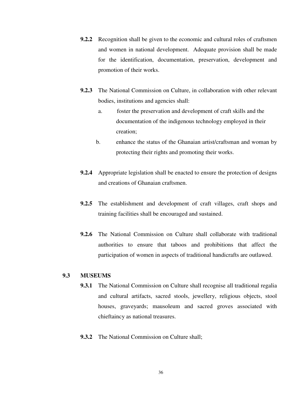- **9.2.2** Recognition shall be given to the economic and cultural roles of craftsmen and women in national development. Adequate provision shall be made for the identification, documentation, preservation, development and promotion of their works.
- **9.2.3** The National Commission on Culture, in collaboration with other relevant bodies, institutions and agencies shall:
	- a. foster the preservation and development of craft skills and the documentation of the indigenous technology employed in their creation;
	- b. enhance the status of the Ghanaian artist/craftsman and woman by protecting their rights and promoting their works.
- **9.2.4** Appropriate legislation shall be enacted to ensure the protection of designs and creations of Ghanaian craftsmen.
- **9.2.5** The establishment and development of craft villages, craft shops and training facilities shall be encouraged and sustained.
- **9.2.6** The National Commission on Culture shall collaborate with traditional authorities to ensure that taboos and prohibitions that affect the participation of women in aspects of traditional handicrafts are outlawed.

#### **9.3 MUSEUMS**

- **9.3.1** The National Commission on Culture shall recognise all traditional regalia and cultural artifacts, sacred stools, jewellery, religious objects, stool houses, graveyards; mausoleum and sacred groves associated with chieftaincy as national treasures.
- **9.3.2** The National Commission on Culture shall;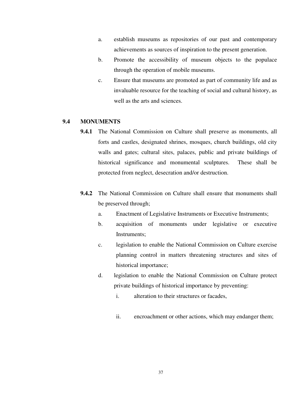- a. establish museums as repositories of our past and contemporary achievements as sources of inspiration to the present generation.
- b. Promote the accessibility of museum objects to the populace through the operation of mobile museums.
- c. Ensure that museums are promoted as part of community life and as invaluable resource for the teaching of social and cultural history, as well as the arts and sciences.

#### **9.4 MONUMENTS**

- **9.4.1** The National Commission on Culture shall preserve as monuments, all forts and castles, designated shrines, mosques, church buildings, old city walls and gates; cultural sites, palaces, public and private buildings of historical significance and monumental sculptures. These shall be protected from neglect, desecration and/or destruction.
- **9.4.2** The National Commission on Culture shall ensure that monuments shall be preserved through;
	- a. Enactment of Legislative Instruments or Executive Instruments;
	- b. acquisition of monuments under legislative or executive Instruments;
	- c. legislation to enable the National Commission on Culture exercise planning control in matters threatening structures and sites of historical importance;
	- d. legislation to enable the National Commission on Culture protect private buildings of historical importance by preventing:
		- i. alteration to their structures or facades,
		- ii. encroachment or other actions, which may endanger them;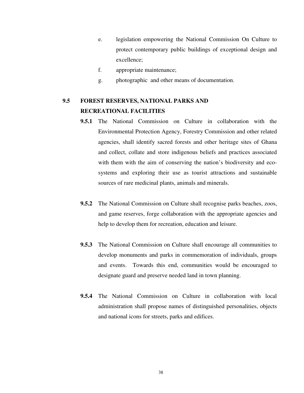- e. legislation empowering the National Commission On Culture to protect contemporary public buildings of exceptional design and excellence;
- f. appropriate maintenance;
- g. photographic and other means of documentation.

## **9.5 FOREST RESERVES, NATIONAL PARKS AND RECREATIONAL FACILITIES**

- **9.5.1** The National Commission on Culture in collaboration with the Environmental Protection Agency, Forestry Commission and other related agencies, shall identify sacred forests and other heritage sites of Ghana and collect, collate and store indigenous beliefs and practices associated with them with the aim of conserving the nation's biodiversity and ecosystems and exploring their use as tourist attractions and sustainable sources of rare medicinal plants, animals and minerals.
- **9.5.2** The National Commission on Culture shall recognise parks beaches, zoos, and game reserves, forge collaboration with the appropriate agencies and help to develop them for recreation, education and leisure.
- **9.5.3** The National Commission on Culture shall encourage all communities to develop monuments and parks in commemoration of individuals, groups and events. Towards this end, communities would be encouraged to designate guard and preserve needed land in town planning.
- **9.5.4** The National Commission on Culture in collaboration with local administration shall propose names of distinguished personalities, objects and national icons for streets, parks and edifices.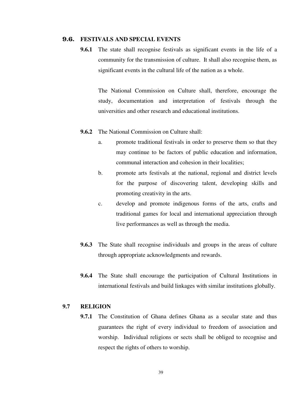#### 9.6. **FESTIVALS AND SPECIAL EVENTS**

**9.6.1** The state shall recognise festivals as significant events in the life of a community for the transmission of culture. It shall also recognise them, as significant events in the cultural life of the nation as a whole.

The National Commission on Culture shall, therefore, encourage the study, documentation and interpretation of festivals through the universities and other research and educational institutions.

- **9.6.2** The National Commission on Culture shall:
	- a. promote traditional festivals in order to preserve them so that they may continue to be factors of public education and information, communal interaction and cohesion in their localities;
	- b. promote arts festivals at the national, regional and district levels for the purpose of discovering talent, developing skills and promoting creativity in the arts.
	- c. develop and promote indigenous forms of the arts, crafts and traditional games for local and international appreciation through live performances as well as through the media.
- **9.6.3** The State shall recognise individuals and groups in the areas of culture through appropriate acknowledgments and rewards.
- **9.6.4** The State shall encourage the participation of Cultural Institutions in international festivals and build linkages with similar institutions globally.

#### **9.7 RELIGION**

**9.7.1** The Constitution of Ghana defines Ghana as a secular state and thus guarantees the right of every individual to freedom of association and worship. Individual religions or sects shall be obliged to recognise and respect the rights of others to worship.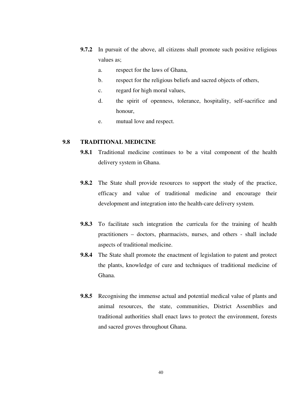- **9.7.2** In pursuit of the above, all citizens shall promote such positive religious values as;
	- a. respect for the laws of Ghana,
	- b. respect for the religious beliefs and sacred objects of others,
	- c. regard for high moral values,
	- d. the spirit of openness, tolerance, hospitality, self-sacrifice and honour,
	- e. mutual love and respect.

#### **9.8 TRADITIONAL MEDICINE**

- **9.8.1** Traditional medicine continues to be a vital component of the health delivery system in Ghana.
- **9.8.2** The State shall provide resources to support the study of the practice, efficacy and value of traditional medicine and encourage their development and integration into the health-care delivery system.
- **9.8.3** To facilitate such integration the curricula for the training of health practitioners – doctors, pharmacists, nurses, and others - shall include aspects of traditional medicine.
- **9.8.4** The State shall promote the enactment of legislation to patent and protect the plants, knowledge of cure and techniques of traditional medicine of Ghana.
- **9.8.5** Recognising the immense actual and potential medical value of plants and animal resources, the state, communities, District Assemblies and traditional authorities shall enact laws to protect the environment, forests and sacred groves throughout Ghana.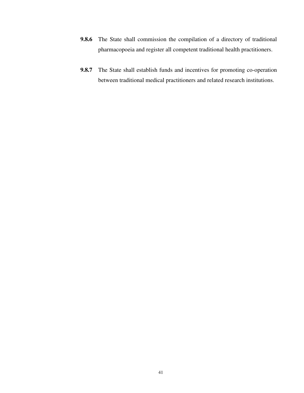- **9.8.6** The State shall commission the compilation of a directory of traditional pharmacopoeia and register all competent traditional health practitioners.
- **9.8.7** The State shall establish funds and incentives for promoting co-operation between traditional medical practitioners and related research institutions.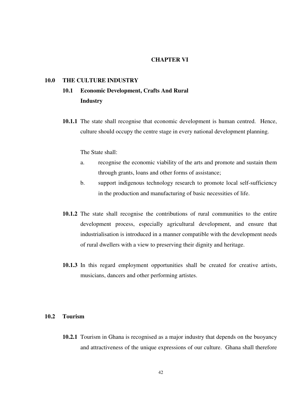#### **CHAPTER VI**

#### **10.0 THE CULTURE INDUSTRY**

## **10.1 Economic Development, Crafts And Rural Industry**

**10.1.1** The state shall recognise that economic development is human centred. Hence, culture should occupy the centre stage in every national development planning.

The State shall:

- a. recognise the economic viability of the arts and promote and sustain them through grants, loans and other forms of assistance;
- b. support indigenous technology research to promote local self-sufficiency in the production and manufacturing of basic necessities of life.
- **10.1.2** The state shall recognise the contributions of rural communities to the entire development process, especially agricultural development, and ensure that industrialisation is introduced in a manner compatible with the development needs of rural dwellers with a view to preserving their dignity and heritage.
- **10.1.3** In this regard employment opportunities shall be created for creative artists, musicians, dancers and other performing artistes.

#### **10.2 Tourism**

**10.2.1** Tourism in Ghana is recognised as a major industry that depends on the buoyancy and attractiveness of the unique expressions of our culture. Ghana shall therefore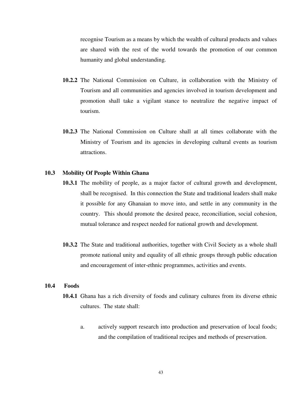recognise Tourism as a means by which the wealth of cultural products and values are shared with the rest of the world towards the promotion of our common humanity and global understanding.

- **10.2.2** The National Commission on Culture, in collaboration with the Ministry of Tourism and all communities and agencies involved in tourism development and promotion shall take a vigilant stance to neutralize the negative impact of tourism.
- **10.2.3** The National Commission on Culture shall at all times collaborate with the Ministry of Tourism and its agencies in developing cultural events as tourism attractions.

#### **10.3 Mobility Of People Within Ghana**

- **10.3.1** The mobility of people, as a major factor of cultural growth and development, shall be recognised. In this connection the State and traditional leaders shall make it possible for any Ghanaian to move into, and settle in any community in the country. This should promote the desired peace, reconciliation, social cohesion, mutual tolerance and respect needed for national growth and development.
- **10.3.2** The State and traditional authorities, together with Civil Society as a whole shall promote national unity and equality of all ethnic groups through public education and encouragement of inter-ethnic programmes, activities and events.

#### **10.4 Foods**

- **10.4.1** Ghana has a rich diversity of foods and culinary cultures from its diverse ethnic cultures. The state shall:
	- a. actively support research into production and preservation of local foods; and the compilation of traditional recipes and methods of preservation.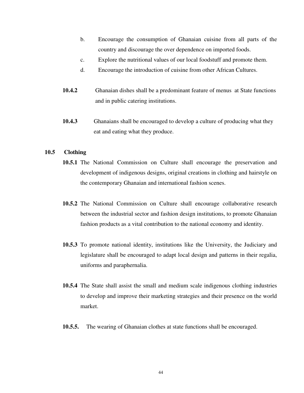- b. Encourage the consumption of Ghanaian cuisine from all parts of the country and discourage the over dependence on imported foods.
- c. Explore the nutritional values of our local foodstuff and promote them.
- d. Encourage the introduction of cuisine from other African Cultures.
- **10.4.2** Ghanaian dishes shall be a predominant feature of menus at State functions and in public catering institutions.
- **10.4.3** Ghanaians shall be encouraged to develop a culture of producing what they eat and eating what they produce.

#### **10.5 Clothing**

- **10.5.1** The National Commission on Culture shall encourage the preservation and development of indigenous designs, original creations in clothing and hairstyle on the contemporary Ghanaian and international fashion scenes.
- **10.5.2** The National Commission on Culture shall encourage collaborative research between the industrial sector and fashion design institutions, to promote Ghanaian fashion products as a vital contribution to the national economy and identity.
- **10.5.3** To promote national identity, institutions like the University, the Judiciary and legislature shall be encouraged to adapt local design and patterns in their regalia, uniforms and paraphernalia.
- **10.5.4** The State shall assist the small and medium scale indigenous clothing industries to develop and improve their marketing strategies and their presence on the world market.
- **10.5.5.** The wearing of Ghanaian clothes at state functions shall be encouraged.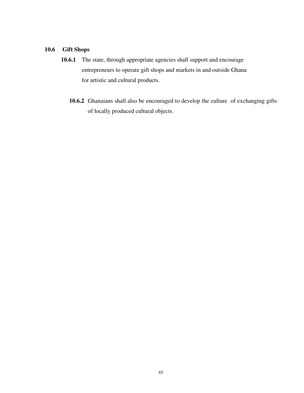#### **10.6 Gift Shops**

- **10.6.1** The state, through appropriate agencies shall support and encourage entrepreneurs to operate gift shops and markets in and outside Ghana for artistic and cultural products.
	- **10.6.2** Ghanaians shall also be encouraged to develop the culture of exchanging gifts of locally produced cultural objects.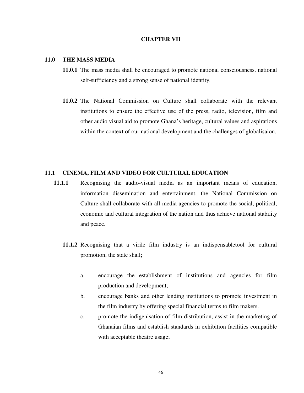#### **CHAPTER VII**

#### **11.0 THE MASS MEDIA**

- **11.0.1** The mass media shall be encouraged to promote national consciousness, national self-sufficiency and a strong sense of national identity.
- **11.0.2** The National Commission on Culture shall collaborate with the relevant institutions to ensure the effective use of the press, radio, television, film and other audio visual aid to promote Ghana's heritage, cultural values and aspirations within the context of our national development and the challenges of globalisaion.

#### **11.1 CINEMA, FILM AND VIDEO FOR CULTURAL EDUCATION**

- **11.1.1** Recognising the audio-visual media as an important means of education, information dissemination and entertainment, the National Commission on Culture shall collaborate with all media agencies to promote the social, political, economic and cultural integration of the nation and thus achieve national stability and peace.
	- **11.1.2** Recognising that a virile film industry is an indispensabletool for cultural promotion, the state shall;
		- a. encourage the establishment of institutions and agencies for film production and development;
		- b. encourage banks and other lending institutions to promote investment in the film industry by offering special financial terms to film makers.
		- c. promote the indigenisation of film distribution, assist in the marketing of Ghanaian films and establish standards in exhibition facilities compatible with acceptable theatre usage;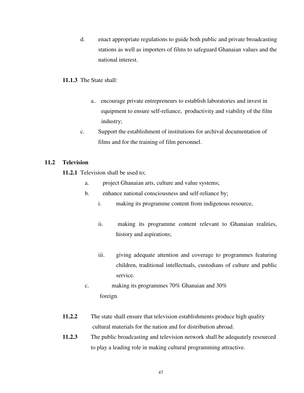d. enact appropriate regulations to guide both public and private broadcasting stations as well as importers of films to safeguard Ghanaian values and the national interest.

#### **11.1.3** The State shall:

- a.. encourage private entrepreneurs to establish laboratories and invest in equipment to ensure self-reliance, productivity and viability of the film industry;
- c. Support the establishment of institutions for archival documentation of films and for the training of film personnel.

#### **11.2 Television**

**11.2.1** Television shall be used to;

- a. project Ghanaian arts, culture and value systems;
- b. enhance national consciousness and self-reliance by;
	- i. making its programme content from indigenous resource,
	- ii. making its programme content relevant to Ghanaian realities, history and aspirations;
	- iii. giving adequate attention and coverage to programmes featuring children, traditional intellectuals, custodians of culture and public service.
- c. making its programmes 70% Ghanaian and 30% foreign.
- **11.2.2** The state shall ensure that television establishments produce high quality cultural materials for the nation and for distribution abroad.
- **11.2.3** The public broadcasting and television network shall be adequately resourced to play a leading role in making cultural programming attractive.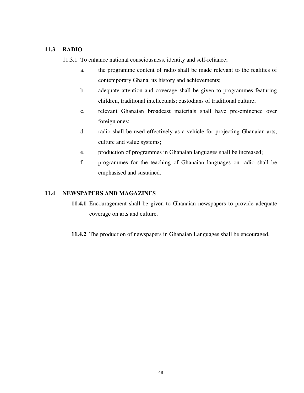#### **11.3 RADIO**

11.3.1 To enhance national consciousness, identity and self-reliance;

- a. the programme content of radio shall be made relevant to the realities of contemporary Ghana, its history and achievements;
- b. adequate attention and coverage shall be given to programmes featuring children, traditional intellectuals; custodians of traditional culture;
- c. relevant Ghanaian broadcast materials shall have pre-eminence over foreign ones;
- d. radio shall be used effectively as a vehicle for projecting Ghanaian arts, culture and value systems;
- e. production of programmes in Ghanaian languages shall be increased;
- f. programmes for the teaching of Ghanaian languages on radio shall be emphasised and sustained.

#### **11.4 NEWSPAPERS AND MAGAZINES**

- **11.4.1** Encouragement shall be given to Ghanaian newspapers to provide adequate coverage on arts and culture.
- **11.4.2** The production of newspapers in Ghanaian Languages shall be encouraged.